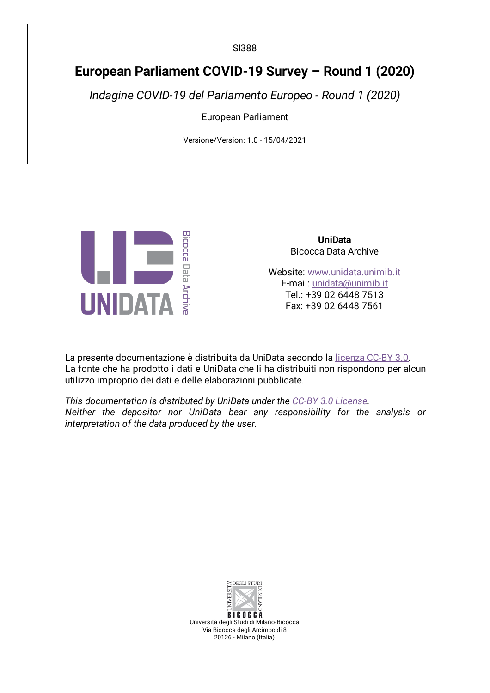SI388

## **European Parliament COVID-19 Survey – Round 1 (2020)**

*Indagine COVID-19 del Parlamento Europeo - Round 1 (2020)*

European Parliament

Versione/Version: 1.0 - 15/04/2021



**UniData** Bicocca Data Archive

Website: [www.unidata.unimib.it](http://www.unidata.unimib.it) E-mail: [unidata@unimib.it](mailto:unidata@unimib.it) Tel.: +39 02 6448 7513 Fax: +39 02 6448 7561

La presente documentazione è distribuita da UniData secondo la [licenza](https://creativecommons.org/licenses/by/3.0/deed.it) CC-BY 3.0. La fonte che ha prodotto i dati e UniData che li ha distribuiti non rispondono per alcun utilizzo improprio dei dati e delle elaborazioni pubblicate.

*This documentation is distributed by UniData under the CC-BY 3.0 [License](https://creativecommons.org/licenses/by/3.0/). Neither the depositor nor UniData bear any responsibility for the analysis or interpretation of the data produced by the user.*



**BICOCCA** Università degli Studi di Milano-Bicocca Via Bicocca degli Arcimboldi 8 20126 - Milano (Italia)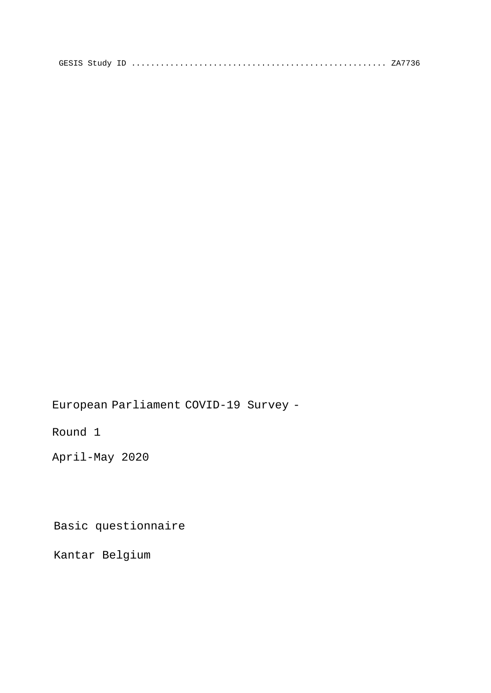European Parliament COVID-19 Survey -

Round 1

April-May 2020

Basic questionnaire

Kantar Belgium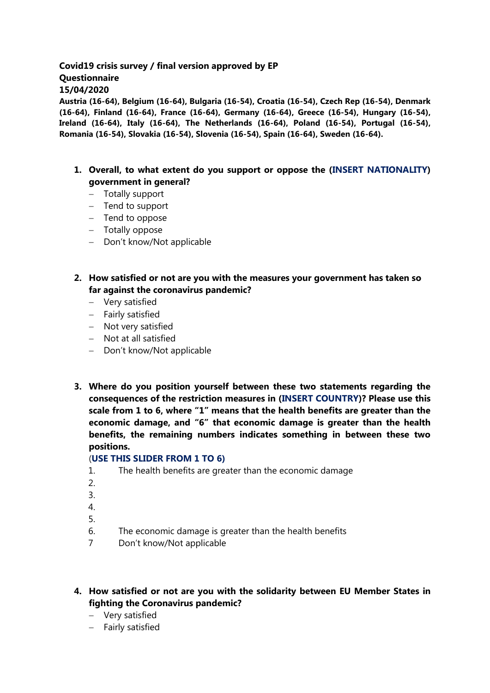#### **Covid19 crisis survey / final version approved by EP Questionnaire 15/04/2020**

**Austria (16-64), Belgium (16-64), Bulgaria (16-54), Croatia (16-54), Czech Rep (16-54), Denmark (16-64), Finland (16-64), France (16-64), Germany (16-64), Greece (16-54), Hungary (16-54), Ireland (16-64), Italy (16-64), The Netherlands (16-64), Poland (16-54), Portugal (16-54), Romania (16-54), Slovakia (16-54), Slovenia (16-54), Spain (16-64), Sweden (16-64).** 

- **1. Overall, to what extent do you support or oppose the (INSERT NATIONALITY) government in general?** 
	- Totally support
	- $-$  Tend to support
	- Tend to oppose
	- Totally oppose
	- Don't know/Not applicable
- **2. How satisfied or not are you with the measures your government has taken so far against the coronavirus pandemic?**
	- Very satisfied
	- Fairly satisfied
	- Not very satisfied
	- Not at all satisfied
	- Don't know/Not applicable
- **3. Where do you position yourself between these two statements regarding the consequences of the restriction measures in (INSERT COUNTRY)? Please use this scale from 1 to 6, where "1" means that the health benefits are greater than the economic damage, and "6" that economic damage is greater than the health benefits, the remaining numbers indicates something in between these two positions.**

#### (**USE THIS SLIDER FROM 1 TO 6)**

- 1. The health benefits are greater than the economic damage
- 2.
- 3.
- 4.
- 5.
- 6. The economic damage is greater than the health benefits
- 7 Don't know/Not applicable
- **4. How satisfied or not are you with the solidarity between EU Member States in fighting the Coronavirus pandemic?** 
	- Very satisfied
	- Fairly satisfied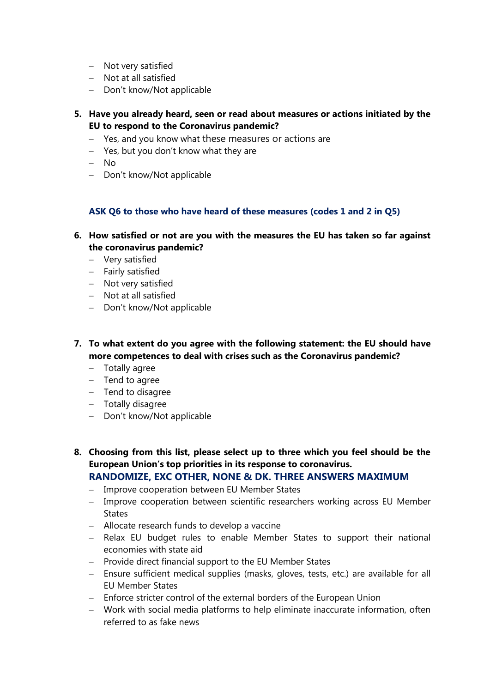- Not very satisfied
- Not at all satisfied
- Don't know/Not applicable
- **5. Have you already heard, seen or read about measures or actions initiated by the EU to respond to the Coronavirus pandemic?** 
	- Yes, and you know what these measures or actions are
	- Yes, but you don't know what they are
	- No
	- Don't know/Not applicable

#### **ASK Q6 to those who have heard of these measures (codes 1 and 2 in Q5)**

- **6. How satisfied or not are you with the measures the EU has taken so far against the coronavirus pandemic?**
	- Very satisfied
	- Fairly satisfied
	- Not very satisfied
	- Not at all satisfied
	- Don't know/Not applicable
- **7. To what extent do you agree with the following statement: the EU should have more competences to deal with crises such as the Coronavirus pandemic?**
	- Totally agree
	- $-$  Tend to agree
	- Tend to disagree
	- Totally disagree
	- Don't know/Not applicable
- **8. Choosing from this list, please select up to three which you feel should be the European Union's top priorities in its response to coronavirus. RANDOMIZE, EXC OTHER, NONE & DK. THREE ANSWERS MAXIMUM**
	- Improve cooperation between EU Member States
	- Improve cooperation between scientific researchers working across EU Member **States**
	- Allocate research funds to develop a vaccine
	- Relax EU budget rules to enable Member States to support their national economies with state aid
	- Provide direct financial support to the EU Member States
	- Ensure sufficient medical supplies (masks, gloves, tests, etc.) are available for all EU Member States
	- Enforce stricter control of the external borders of the European Union
	- Work with social media platforms to help eliminate inaccurate information, often referred to as fake news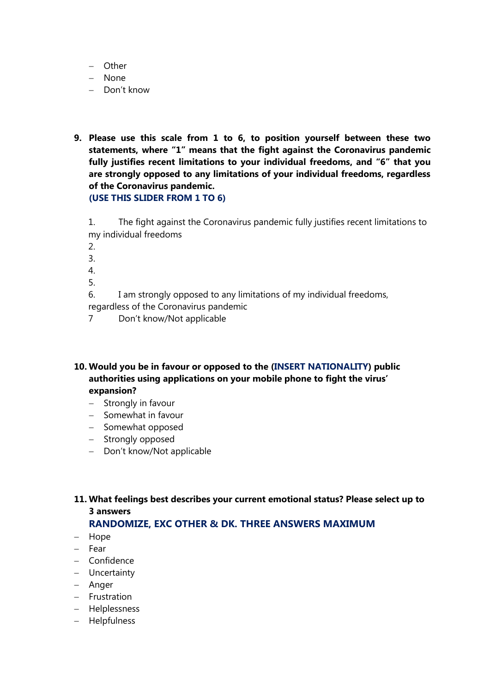- Other
- None
- Don't know
- **9. Please use this scale from 1 to 6, to position yourself between these two statements, where "1" means that the fight against the Coronavirus pandemic fully justifies recent limitations to your individual freedoms, and "6" that you are strongly opposed to any limitations of your individual freedoms, regardless of the Coronavirus pandemic. (USE THIS SLIDER FROM 1 TO 6)**

1. The fight against the Coronavirus pandemic fully justifies recent limitations to my individual freedoms

- 2.
- 3.
- 4.
- 5.

6. I am strongly opposed to any limitations of my individual freedoms, regardless of the Coronavirus pandemic

7 Don't know/Not applicable

#### **10. Would you be in favour or opposed to the (INSERT NATIONALITY) public authorities using applications on your mobile phone to fight the virus' expansion?**

- $-$  Strongly in favour
- $-$  Somewhat in favour
- Somewhat opposed
- Strongly opposed
- Don't know/Not applicable

**11. What feelings best describes your current emotional status? Please select up to 3 answers**

**RANDOMIZE, EXC OTHER & DK. THREE ANSWERS MAXIMUM**

- Hope
- Fear
- Confidence
- Uncertainty
- Anger
- Frustration
- Helplessness
- Helpfulness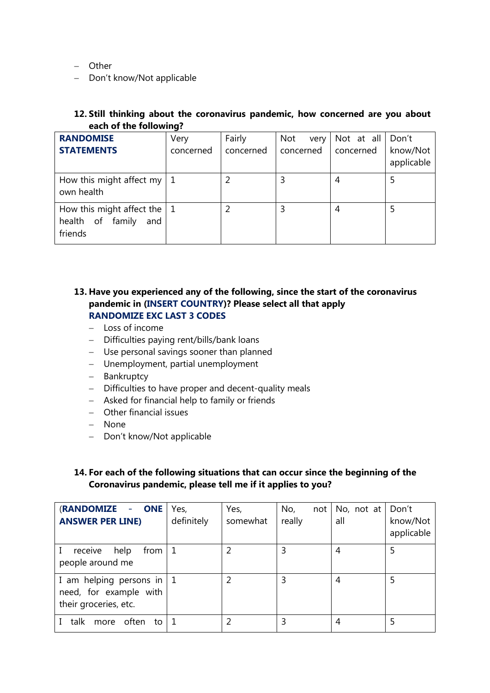Other

- Don't know/Not applicable

#### **12. Still thinking about the coronavirus pandemic, how concerned are you about each of the following?**

| <b>RANDOMISE</b><br><b>STATEMENTS</b>                                     | Very<br>concerned | Fairly<br>concerned | <b>Not</b><br>very<br>concerned | Not at all Don't<br>concerned | know/Not<br>applicable |
|---------------------------------------------------------------------------|-------------------|---------------------|---------------------------------|-------------------------------|------------------------|
| How this might affect my $\vert 1 \vert$<br>own health                    |                   |                     |                                 | 4                             | 5                      |
| How this might affect the $\vert$ 1<br>health of family<br>and<br>friends |                   |                     |                                 | 4                             |                        |

#### **13. Have you experienced any of the following, since the start of the coronavirus pandemic in (INSERT COUNTRY)? Please select all that apply RANDOMIZE EXC LAST 3 CODES**

- $-$  Loss of income
- Difficulties paying rent/bills/bank loans
- Use personal savings sooner than planned
- Unemployment, partial unemployment
- Bankruptcy
- Difficulties to have proper and decent-quality meals
- Asked for financial help to family or friends
- Other financial issues
- None
- Don't know/Not applicable

#### **14. For each of the following situations that can occur since the beginning of the Coronavirus pandemic, please tell me if it applies to you?**

| (RANDOMIZE - ONE<br><b>ANSWER PER LINE)</b>                                    | Yes,<br>definitely | Yes,<br>somewhat | No,<br>not<br>really | No, not at $ $ Don't<br>all | know/Not<br>applicable |
|--------------------------------------------------------------------------------|--------------------|------------------|----------------------|-----------------------------|------------------------|
| from I<br>receive<br>help<br>people around me                                  |                    |                  |                      | 4                           |                        |
| I am helping persons in   1<br>need, for example with<br>their groceries, etc. |                    |                  | 3                    | 4                           |                        |
| talk<br>often<br>more<br>to                                                    |                    |                  | 3                    | 4                           |                        |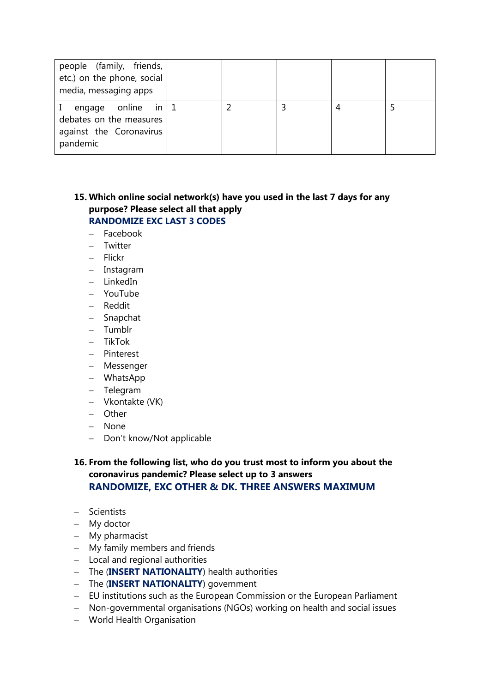| people (family, friends,<br>etc.) on the phone, social<br>media, messaging apps                 |  |  |  |
|-------------------------------------------------------------------------------------------------|--|--|--|
| online in $\vert$ 1<br>engage<br>debates on the measures<br>against the Coronavirus<br>pandemic |  |  |  |

#### **15. Which online social network(s) have you used in the last 7 days for any purpose? Please select all that apply RANDOMIZE EXC LAST 3 CODES**

- Facebook
- Twitter
- Flickr
- Instagram
- $-$  LinkedIn
- YouTube
- Reddit
- Snapchat
- Tumblr
- TikTok
- Pinterest
- Messenger
- WhatsApp
- Telegram
- Vkontakte (VK)
- Other
- None
- Don't know/Not applicable

#### **16. From the following list, who do you trust most to inform you about the coronavirus pandemic? Please select up to 3 answers RANDOMIZE, EXC OTHER & DK. THREE ANSWERS MAXIMUM**

- Scientists
- My doctor
- My pharmacist
- My family members and friends
- Local and regional authorities
- The (**INSERT NATIONALITY**) health authorities
- The (**INSERT NATIONALITY**) government
- EU institutions such as the European Commission or the European Parliament
- Non-governmental organisations (NGOs) working on health and social issues
- World Health Organisation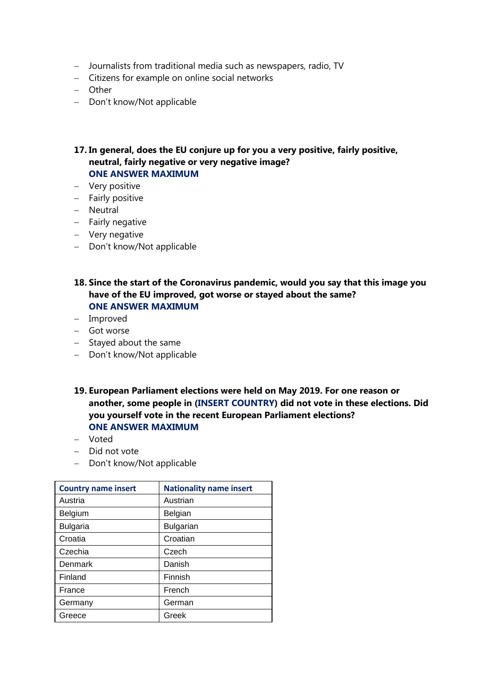- Journalists from traditional media such as newspapers, radio, TV
- Citizens for example on online social networks
- Other
- Don't know/Not applicable

#### **17. In general, does the EU conjure up for you a very positive, fairly positive, neutral, fairly negative or very negative image? ONE ANSWER MAXIMUM**

- Very positive
- Fairly positive
- Neutral
- $-$  Fairly negative
- Very negative
- Don't know/Not applicable

#### **18. Since the start of the Coronavirus pandemic, would you say that this image you have of the EU improved, got worse or stayed about the same? ONE ANSWER MAXIMUM**

- Improved
- Got worse
- $-$  Stayed about the same
- Don't know/Not applicable
- **19. European Parliament elections were held on May 2019. For one reason or another, some people in (INSERT COUNTRY) did not vote in these elections. Did you yourself vote in the recent European Parliament elections? ONE ANSWER MAXIMUM**
- Voted
- $-$  Did not vote
- Don't know/Not applicable

| <b>Country name insert</b> | <b>Nationality name insert</b> |
|----------------------------|--------------------------------|
| Austria                    | Austrian                       |
| <b>Belgium</b>             | Belgian                        |
| <b>Bulgaria</b>            | <b>Bulgarian</b>               |
| Croatia                    | Croatian                       |
| Czechia                    | Czech                          |
| Denmark                    | Danish                         |
| Finland                    | Finnish                        |
| France                     | French                         |
| Germany                    | German                         |
| Greece                     | Greek                          |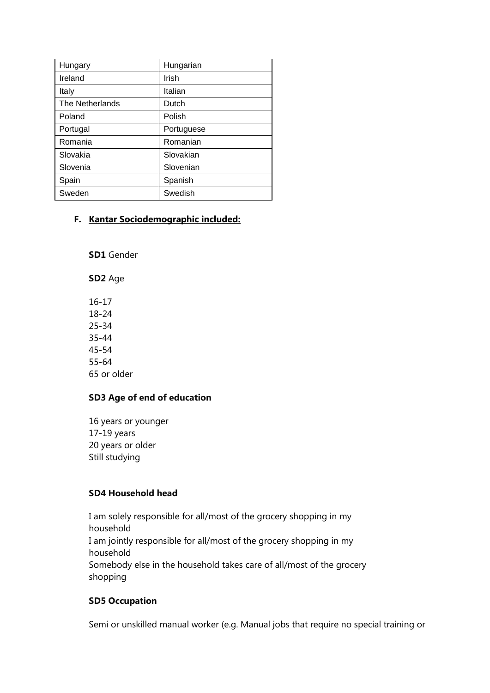| Hungary         | Hungarian  |
|-----------------|------------|
| Ireland         | Irish      |
| Italy           | Italian    |
| The Netherlands | Dutch      |
| Poland          | Polish     |
| Portugal        | Portuguese |
| Romania         | Romanian   |
| Slovakia        | Slovakian  |
| Slovenia        | Slovenian  |
| Spain           | Spanish    |
| Sweden          | Swedish    |

#### **F. Kantar Sociodemographic included:**

**SD1** Gender

**SD2** Age

16-17 18-24 25-34 35-44 45-54 55-64 65 or older

#### **SD3 Age of end of education**

16 years or younger 17-19 years 20 years or older Still studying

#### **SD4 Household head**

I am solely responsible for all/most of the grocery shopping in my household I am jointly responsible for all/most of the grocery shopping in my household Somebody else in the household takes care of all/most of the grocery shopping

#### **SD5 Occupation**

Semi or unskilled manual worker (e.g. Manual jobs that require no special training or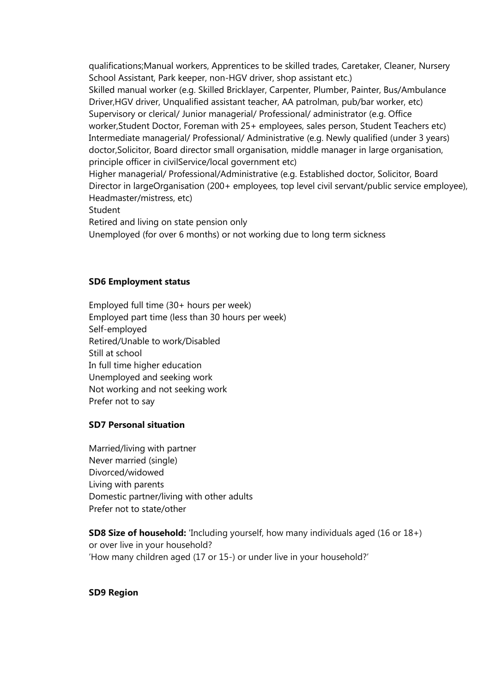qualifications;Manual workers, Apprentices to be skilled trades, Caretaker, Cleaner, Nursery School Assistant, Park keeper, non-HGV driver, shop assistant etc.) Skilled manual worker (e.g. Skilled Bricklayer, Carpenter, Plumber, Painter, Bus/Ambulance Driver,HGV driver, Unqualified assistant teacher, AA patrolman, pub/bar worker, etc) Supervisory or clerical/ Junior managerial/ Professional/ administrator (e.g. Office worker,Student Doctor, Foreman with 25+ employees, sales person, Student Teachers etc) Intermediate managerial/ Professional/ Administrative (e.g. Newly qualified (under 3 years) doctor,Solicitor, Board director small organisation, middle manager in large organisation, principle officer in civilService/local government etc) Higher managerial/ Professional/Administrative (e.g. Established doctor, Solicitor, Board Director in largeOrganisation (200+ employees, top level civil servant/public service employee), Headmaster/mistress, etc) Student Retired and living on state pension only Unemployed (for over 6 months) or not working due to long term sickness

#### **SD6 Employment status**

Employed full time (30+ hours per week) Employed part time (less than 30 hours per week) Self-employed Retired/Unable to work/Disabled Still at school In full time higher education Unemployed and seeking work Not working and not seeking work Prefer not to say

#### **SD7 Personal situation**

Married/living with partner Never married (single) Divorced/widowed Living with parents Domestic partner/living with other adults Prefer not to state/other

**SD8 Size of household:** 'Including yourself, how many individuals aged (16 or 18+) or over live in your household? 'How many children aged (17 or 15-) or under live in your household?'

#### **SD9 Region**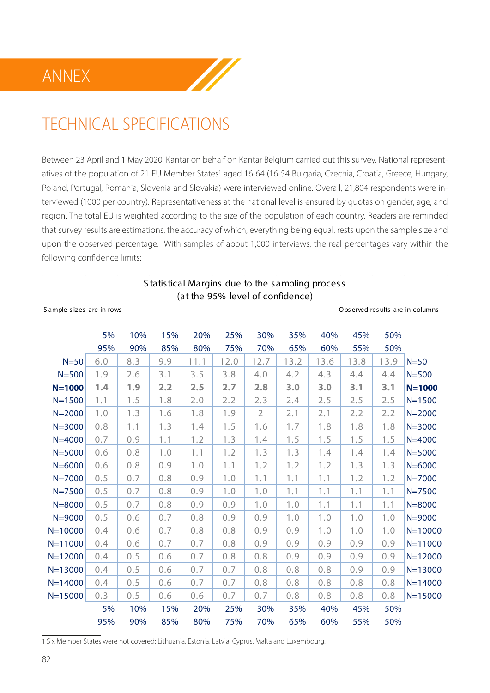## ANNEX



Between 23 April and 1 May 2020, Kantar on behalf on Kantar Belgium carried out this survey. National representatives of the population of 21 EU Member States<sup>1</sup> aged 16-64 (16-54 Bulgaria, Czechia, Croatia, Greece, Hungary, Poland, Portugal, Romania, Slovenia and Slovakia) were interviewed online. Overall, 21,804 respondents were interviewed (1000 per country). Representativeness at the national level is ensured by quotas on gender, age, and region. The total EU is weighted according to the size of the population of each country. Readers are reminded that survey results are estimations, the accuracy of which, everything being equal, rests upon the sample size and upon the observed percentage. With samples of about 1,000 interviews, the real percentages vary within the following confidence limits:

W

#### S tatistical Margins due to the sampling process (at the 95% level of confidence)

#### S ample s iz es are in rows Obs erved res ults are in columns

|             | 5%  | 10% | 15% | 20%  | 25%  | 30%            | 35%  | 40%  | 45%  | 50%  |             |
|-------------|-----|-----|-----|------|------|----------------|------|------|------|------|-------------|
|             | 95% | 90% | 85% | 80%  | 75%  | 70%            | 65%  | 60%  | 55%  | 50%  |             |
| $N = 50$    | 6.0 | 8.3 | 9.9 | 11.1 | 12.0 | 12.7           | 13.2 | 13.6 | 13.8 | 13.9 | $N = 50$    |
| $N = 500$   | 1.9 | 2.6 | 3.1 | 3.5  | 3.8  | 4.0            | 4.2  | 4.3  | 4.4  | 4.4  | $N = 500$   |
| $N = 1000$  | 1.4 | 1.9 | 2.2 | 2.5  | 2.7  | 2.8            | 3.0  | 3.0  | 3.1  | 3.1  | $N = 1000$  |
| $N = 1500$  | 1.1 | 1.5 | 1.8 | 2.0  | 2.2  | 2.3            | 2.4  | 2.5  | 2.5  | 2.5  | $N = 1500$  |
| $N = 2000$  | 1.0 | 1.3 | 1.6 | 1.8  | 1.9  | $\overline{2}$ | 2.1  | 2.1  | 2.2  | 2.2  | $N = 2000$  |
| $N = 3000$  | 0.8 | 1.1 | 1.3 | 1.4  | 1.5  | 1.6            | 1.7  | 1.8  | 1.8  | 1.8  | $N = 3000$  |
| $N = 4000$  | 0.7 | 0.9 | 1.1 | 1.2  | 1.3  | 1.4            | 1.5  | 1.5  | 1.5  | 1.5  | $N = 4000$  |
| $N = 5000$  | 0.6 | 0.8 | 1.0 | 1.1  | 1.2  | 1.3            | 1.3  | 1.4  | 1.4  | 1.4  | $N = 5000$  |
| $N = 6000$  | 0.6 | 0.8 | 0.9 | 1.0  | 1.1  | 1.2            | 1.2  | 1.2  | 1.3  | 1.3  | $N = 6000$  |
| $N = 7000$  | 0.5 | 0.7 | 0.8 | 0.9  | 1.0  | 1.1            | 1.1  | 1.1  | 1.2  | 1.2  | $N = 7000$  |
| $N = 7500$  | 0.5 | 0.7 | 0.8 | 0.9  | 1.0  | 1.0            | 1.1  | 1.1  | 1.1  | 1.1  | $N = 7500$  |
| $N = 8000$  | 0.5 | 0.7 | 0.8 | 0.9  | 0.9  | 1.0            | 1.0  | 1.1  | 1.1  | 1.1  | $N = 8000$  |
| $N = 9000$  | 0.5 | 0.6 | 0.7 | 0.8  | 0.9  | 0.9            | 1.0  | 1.0  | 1.0  | 1.0  | $N = 9000$  |
| $N = 10000$ | 0.4 | 0.6 | 0.7 | 0.8  | 0.8  | 0.9            | 0.9  | 1.0  | 1.0  | 1.0  | $N = 10000$ |
| $N = 11000$ | 0.4 | 0.6 | 0.7 | 0.7  | 0.8  | 0.9            | 0.9  | 0.9  | 0.9  | 0.9  | $N = 11000$ |
| $N = 12000$ | 0.4 | 0.5 | 0.6 | 0.7  | 0.8  | 0.8            | 0.9  | 0.9  | 0.9  | 0.9  | $N = 12000$ |
| $N = 13000$ | 0.4 | 0.5 | 0.6 | 0.7  | 0.7  | 0.8            | 0.8  | 0.8  | 0.9  | 0.9  | $N = 13000$ |
| $N = 14000$ | 0.4 | 0.5 | 0.6 | 0.7  | 0.7  | 0.8            | 0.8  | 0.8  | 0.8  | 0.8  | $N = 14000$ |
| $N = 15000$ | 0.3 | 0.5 | 0.6 | 0.6  | 0.7  | 0.7            | 0.8  | 0.8  | 0.8  | 0.8  | $N = 15000$ |
|             | 5%  | 10% | 15% | 20%  | 25%  | 30%            | 35%  | 40%  | 45%  | 50%  |             |
|             | 95% | 90% | 85% | 80%  | 75%  | 70%            | 65%  | 60%  | 55%  | 50%  |             |

1 Six Member States were not covered: Lithuania, Estonia, Latvia, Cyprus, Malta and Luxembourg.